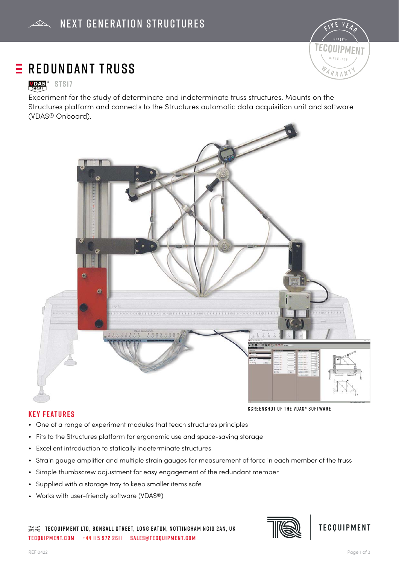

# $E$  REDUNDANT TRUSS

## **VDAS**<sup>®</sup> STS17

Experiment for the study of determinate and indeterminate truss structures. Mounts on the Structures platform and connects to the Structures automatic data acquisition unit and software (VDAS® Onboard).



### **Key Features**

- One of a range of experiment modules that teach structures principles
- Fits to the Structures platform for ergonomic use and space-saving storage
- Excellent introduction to statically indeterminate structures
- Strain gauge amplifier and multiple strain gauges for measurement of force in each member of the truss
- Simple thumbscrew adjustment for easy engagement of the redundant member
- Supplied with a storage tray to keep smaller items safe
- Works with user-friendly software (VDAS®)

 $\gg\ll$  tecquipment LTD, Bonsall Street, LONG EATON, NOTTINGHAM NG10 2AN, UK **tecquipment.com +44 115 972 2611 sales@tecquipment.com**





Screenshot of the VDAS® software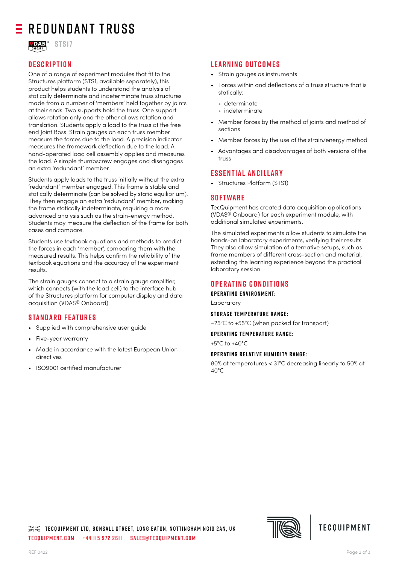## $E$  Redundant Truss



## **Description**

One of a range of experiment modules that fit to the Structures platform (STS1, available separately), this product helps students to understand the analysis of statically determinate and indeterminate truss structures made from a number of 'members' held together by joints at their ends. Two supports hold the truss. One support allows rotation only and the other allows rotation and translation. Students apply a load to the truss at the free end Joint Boss. Strain gauges on each truss member measure the forces due to the load. A precision indicator measures the framework deflection due to the load. A hand-operated load cell assembly applies and measures the load. A simple thumbscrew engages and disengages an extra 'redundant' member.

Students apply loads to the truss initially without the extra 'redundant' member engaged. This frame is stable and statically determinate (can be solved by static equilibrium). They then engage an extra 'redundant' member, making the frame statically indeterminate, requiring a more advanced analysis such as the strain-energy method. Students may measure the deflection of the frame for both cases and compare.

Students use textbook equations and methods to predict the forces in each 'member', comparing them with the measured results. This helps confirm the reliability of the textbook equations and the accuracy of the experiment results.

The strain gauges connect to a strain gauge amplifier, which connects (with the load cell) to the interface hub of the Structures platform for computer display and data acquisition (VDAS® Onboard).

### **Standard Features**

- Supplied with comprehensive user guide
- Five-year warranty
- Made in accordance with the latest European Union directives
- ISO9001 certifi ed manufacturer

### **Learning outcomes**

- Strain gauges as instruments
- Forces within and deflections of a truss structure that is statically:
	- determinate
	- indeterminate
- Member forces by the method of joints and method of sections
- Member forces by the use of the strain/energy method
- Advantages and disadvantages of both versions of the truss

### **Essential Ancillary**

• Structures Platform (STS1)

#### **Software**

TecQuipment has created data acquisition applications (VDAS® Onboard) for each experiment module, with additional simulated experiments.

The simulated experiments allow students to simulate the hands-on laboratory experiments, verifying their results. They also allow simulation of alternative setups, such as frame members of different cross-section and material, extending the learning experience beyond the practical laboratory session.

## **Operating Conditions**

**Operating environment:**

Laboratory

#### **Storage temperature range:**

–25°C to +55°C (when packed for transport)

#### **Operating temperature range:**

+5°C to +40°C

#### **Operating relative humidity range:**

80% at temperatures < 31°C decreasing linearly to 50% at 40°C